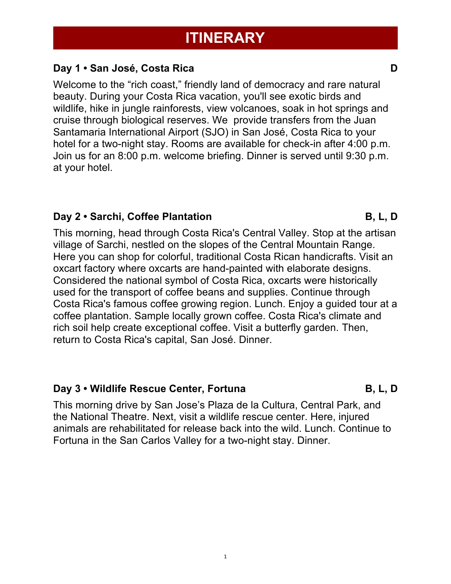1

# **ITINERARY**

# **Day 1 • San José, Costa Rica D**

Welcome to the "rich coast," friendly land of democracy and rare natural beauty. During your Costa Rica vacation, you'll see exotic birds and wildlife, hike in jungle rainforests, view volcanoes, soak in hot springs and cruise through biological reserves. We provide transfers from the Juan Santamaria International Airport (SJO) in San José, Costa Rica to your hotel for a two-night stay. Rooms are available for check-in after 4:00 p.m. Join us for an 8:00 p.m. welcome briefing. Dinner is served until 9:30 p.m. at your hotel.

# **Day 2 • Sarchi, Coffee Plantation B, L, D**

This morning, head through Costa Rica's Central Valley. Stop at the artisan village of Sarchi, nestled on the slopes of the Central Mountain Range. Here you can shop for colorful, traditional Costa Rican handicrafts. Visit an oxcart factory where oxcarts are hand-painted with elaborate designs. Considered the national symbol of Costa Rica, oxcarts were historically used for the transport of coffee beans and supplies. Continue through Costa Rica's famous coffee growing region. Lunch. Enjoy a guided tour at a coffee plantation. Sample locally grown coffee. Costa Rica's climate and rich soil help create exceptional coffee. Visit a butterfly garden. Then, return to Costa Rica's capital, San José. Dinner.

## Day 3 • Wildlife Rescue Center, Fortuna **B, L, D**

This morning drive by San Jose's Plaza de la Cultura, Central Park, and the National Theatre. Next, visit a wildlife rescue center. Here, injured animals are rehabilitated for release back into the wild. Lunch. Continue to Fortuna in the San Carlos Valley for a two-night stay. Dinner.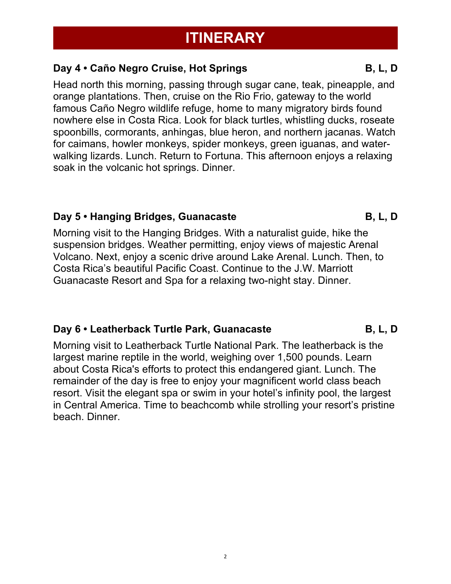# **ITINERARY**

# **Day 4 • Caño Negro Cruise, Hot Springs The Canadian B, L, D**

Head north this morning, passing through sugar cane, teak, pineapple, and orange plantations. Then, cruise on the Rio Frio, gateway to the world famous Caño Negro wildlife refuge, home to many migratory birds found nowhere else in Costa Rica. Look for black turtles, whistling ducks, roseate spoonbills, cormorants, anhingas, blue heron, and northern jacanas. Watch for caimans, howler monkeys, spider monkeys, green iguanas, and waterwalking lizards. Lunch. Return to Fortuna. This afternoon enjoys a relaxing soak in the volcanic hot springs. Dinner.

### Day 5 • Hanging Bridges, Guanacaste **B, L, D**

Morning visit to the Hanging Bridges. With a naturalist guide, hike the suspension bridges. Weather permitting, enjoy views of majestic Arenal Volcano. Next, enjoy a scenic drive around Lake Arenal. Lunch. Then, to Costa Rica's beautiful Pacific Coast. Continue to the J.W. Marriott Guanacaste Resort and Spa for a relaxing two-night stay. Dinner.

### **Day 6 • Leatherback Turtle Park, Guanacaste B, L, D**

Morning visit to Leatherback Turtle National Park. The leatherback is the largest marine reptile in the world, weighing over 1,500 pounds. Learn about Costa Rica's efforts to protect this endangered giant. Lunch. The remainder of the day is free to enjoy your magnificent world class beach resort. Visit the elegant spa or swim in your hotel's infinity pool, the largest in Central America. Time to beachcomb while strolling your resort's pristine beach. Dinner.